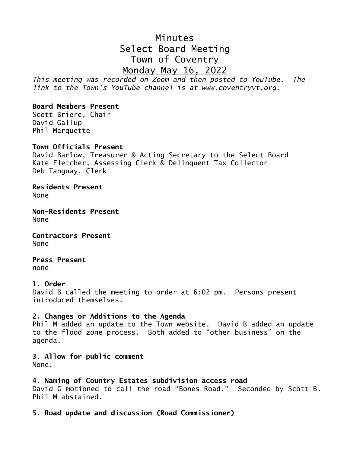# Minutes Select Board Meeting Town of Coventry Monday May 16, 2022

*This meeting was recorded on Zoom and then posted to YouTube. The link to the Town's YouTube channel is at www.coventryvt.org.*

# **Board Members Present**

Scott Briere, Chair David Gallup Phil Marquette

# **Town Officials Present**

David Barlow, Treasurer & Acting Secretary to the Select Board Kate Fletcher, Assessing Clerk & Delinquent Tax Collector Deb Tanguay, Clerk

**Residents Present** None

**Non-Residents Present** None

**Contractors Present** None

**Press Present** none

#### **1. Order**

David B called the meeting to order at 6:02 pm. Persons present introduced themselves.

#### **2. Changes or Additions to the Agenda**

Phil M added an update to the Town website. David B added an update to the flood zone process. Both added to "other business" on the agenda.

**3. Allow for public comment** None.

#### **4. Naming of Country Estates subdivision access road**

David G motioned to call the road "Bones Road." Seconded by Scott B. Phil M abstained.

**5. Road update and discussion (Road Commissioner)**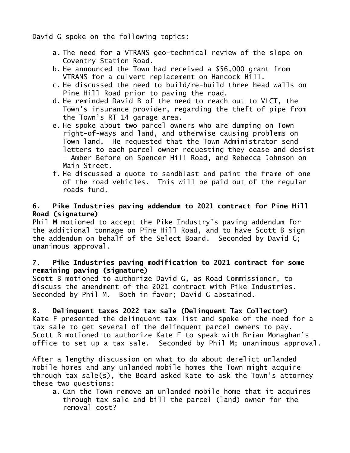David G spoke on the following topics:

- a. The need for a VTRANS geo-technical review of the slope on Coventry Station Road.
- b. He announced the Town had received a \$56,000 grant from VTRANS for a culvert replacement on Hancock Hill.
- c. He discussed the need to build/re-build three head walls on Pine Hill Road prior to paving the road.
- d. He reminded David B of the need to reach out to VLCT, the Town's insurance provider, regarding the theft of pipe from the Town's RT 14 garage area.
- e. He spoke about two parcel owners who are dumping on Town right-of-ways and land, and otherwise causing problems on Town land. He requested that the Town Administrator send letters to each parcel owner requesting they cease and desist – Amber Before on Spencer Hill Road, and Rebecca Johnson on Main Street.
- f. He discussed a quote to sandblast and paint the frame of one of the road vehicles. This will be paid out of the regular roads fund.

# **6. Pike Industries paving addendum to 2021 contract for Pine Hill Road (signature)**

Phil M motioned to accept the Pike Industry's paving addendum for the additional tonnage on Pine Hill Road, and to have Scott B sign the addendum on behalf of the Select Board. Seconded by David G; unanimous approval.

# **7. Pike Industries paving modification to 2021 contract for some remaining paving (signature)**

Scott B motioned to authorize David G, as Road Commissioner, to discuss the amendment of the 2021 contract with Pike Industries. Seconded by Phil M. Both in favor; David G abstained.

**8. Delinquent taxes 2022 tax sale (Delinquent Tax Collector)** Kate F presented the delinquent tax list and spoke of the need for a tax sale to get several of the delinquent parcel owners to pay. Scott B motioned to authorize Kate F to speak with Brian Monaghan's office to set up a tax sale. Seconded by Phil M; unanimous approval.

After a lengthy discussion on what to do about derelict unlanded mobile homes and any unlanded mobile homes the Town might acquire through tax sale(s), the Board asked Kate to ask the Town's attorney these two questions:

a. Can the Town remove an unlanded mobile home that it acquires through tax sale and bill the parcel (land) owner for the removal cost?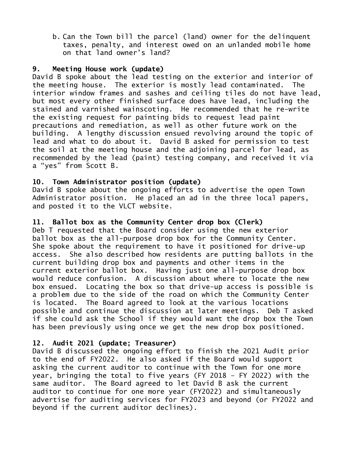b. Can the Town bill the parcel (land) owner for the delinquent taxes, penalty, and interest owed on an unlanded mobile home on that land owner's land?

#### **9. Meeting House work (update)**

David B spoke about the lead testing on the exterior and interior of the meeting house. The exterior is mostly lead contaminated. The interior window frames and sashes and ceiling tiles do not have lead, but most every other finished surface does have lead, including the stained and varnished wainscoting. He recommended that he re-write the existing request for painting bids to request lead paint precautions and remediation, as well as other future work on the building. A lengthy discussion ensued revolving around the topic of lead and what to do about it. David B asked for permission to test the soil at the meeting house and the adjoining parcel for lead, as recommended by the lead (paint) testing company, and received it via a "yes" from Scott B.

#### **10. Town Administrator position (update)**

David B spoke about the ongoing efforts to advertise the open Town Administrator position. He placed an ad in the three local papers, and posted it to the VLCT website.

#### **11. Ballot box as the Community Center drop box (Clerk)**

Deb T requested that the Board consider using the new exterior ballot box as the all-purpose drop box for the Community Center. She spoke about the requirement to have it positioned for drive-up access. She also described how residents are putting ballots in the current building drop box and payments and other items in the current exterior ballot box. Having just one all-purpose drop box would reduce confusion. A discussion about where to locate the new box ensued. Locating the box so that drive-up access is possible is a problem due to the side of the road on which the Community Center is located. The Board agreed to look at the various locations possible and continue the discussion at later meetings. Deb T asked if she could ask the School if they would want the drop box the Town has been previously using once we get the new drop box positioned.

#### **12. Audit 2021 (update; Treasurer)**

David B discussed the ongoing effort to finish the 2021 Audit prior to the end of FY2022. He also asked if the Board would support asking the current auditor to continue with the Town for one more year, bringing the total to five years (FY 2018 – FY 2022) with the same auditor. The Board agreed to let David B ask the current auditor to continue for one more year (FY2022) and simultaneously advertise for auditing services for FY2023 and beyond (or FY2022 and beyond if the current auditor declines).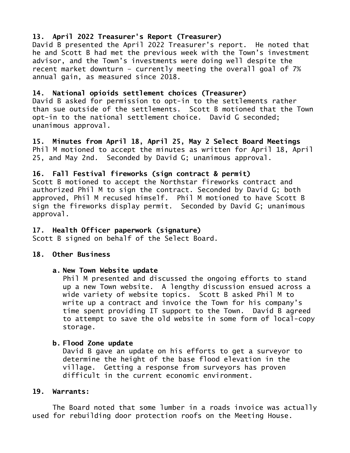# **13. April 2022 Treasurer's Report (Treasurer)**

David B presented the April 2022 Treasurer's report. He noted that he and Scott B had met the previous week with the Town's investment advisor, and the Town's investments were doing well despite the recent market downturn – currently meeting the overall goal of 7% annual gain, as measured since 2018.

# **14. National opioids settlement choices (Treasurer)**

David B asked for permission to opt-in to the settlements rather than sue outside of the settlements. Scott B motioned that the Town opt-in to the national settlement choice. David G seconded; unanimous approval.

**15. Minutes from April 18, April 25, May 2 Select Board Meetings** Phil M motioned to accept the minutes as written for April 18, April 25, and May 2nd. Seconded by David G; unanimous approval.

# **16. Fall Festival fireworks (sign contract & permit)**

Scott B motioned to accept the Northstar fireworks contract and authorized Phil M to sign the contract. Seconded by David G; both approved, Phil M recused himself. Phil M motioned to have Scott B sign the fireworks display permit. Seconded by David G; unanimous approval.

#### **17. Health Officer paperwork (signature)**

Scott B signed on behalf of the Select Board.

#### **18. Other Business**

#### **a. New Town Website update**

Phil M presented and discussed the ongoing efforts to stand up a new Town website. A lengthy discussion ensued across a wide variety of website topics. Scott B asked Phil M to write up a contract and invoice the Town for his company's time spent providing IT support to the Town. David B agreed to attempt to save the old website in some form of local-copy storage.

#### **b. Flood Zone update**

David B gave an update on his efforts to get a surveyor to determine the height of the base flood elevation in the village. Getting a response from surveyors has proven difficult in the current economic environment.

#### **19. Warrants:**

The Board noted that some lumber in a roads invoice was actually used for rebuilding door protection roofs on the Meeting House.